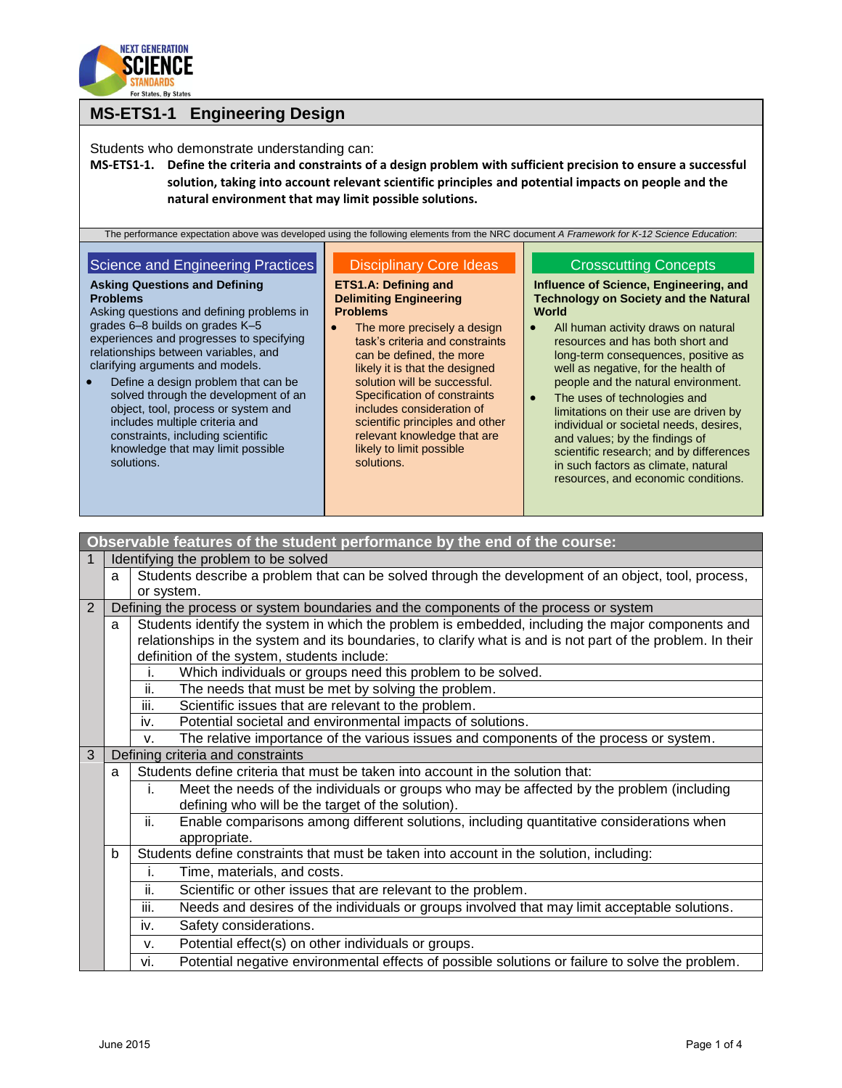

### **MS-ETS1-1 Engineering Design**

Students who demonstrate understanding can:

**MS-ETS1-1. Define the criteria and constraints of a design problem with sufficient precision to ensure a successful solution, taking into account relevant scientific principles and potential impacts on people and the natural environment that may limit possible solutions.**

| The performance expectation above was developed using the following elements from the NRC document A Framework for K-12 Science Education:                                                                                                                                                                                                                                                              |                                                                                                                                                                                                                                                                                                                                       |                                                                                                                                                                                                                                                                                                                                                                                                                                                                                          |
|---------------------------------------------------------------------------------------------------------------------------------------------------------------------------------------------------------------------------------------------------------------------------------------------------------------------------------------------------------------------------------------------------------|---------------------------------------------------------------------------------------------------------------------------------------------------------------------------------------------------------------------------------------------------------------------------------------------------------------------------------------|------------------------------------------------------------------------------------------------------------------------------------------------------------------------------------------------------------------------------------------------------------------------------------------------------------------------------------------------------------------------------------------------------------------------------------------------------------------------------------------|
| Science and Engineering Practices<br><b>Asking Questions and Defining</b><br><b>Problems</b><br>Asking questions and defining problems in                                                                                                                                                                                                                                                               | <b>Disciplinary Core Ideas</b><br>ETS1.A: Defining and<br><b>Delimiting Engineering</b><br><b>Problems</b>                                                                                                                                                                                                                            | <b>Crosscutting Concepts</b><br>Influence of Science, Engineering, and<br><b>Technology on Society and the Natural</b><br>World                                                                                                                                                                                                                                                                                                                                                          |
| grades 6-8 builds on grades K-5<br>experiences and progresses to specifying<br>relationships between variables, and<br>clarifying arguments and models.<br>Define a design problem that can be<br>solved through the development of an<br>object, tool, process or system and<br>includes multiple criteria and<br>constraints, including scientific<br>knowledge that may limit possible<br>solutions. | The more precisely a design<br>task's criteria and constraints<br>can be defined, the more<br>likely it is that the designed<br>solution will be successful.<br>Specification of constraints<br>includes consideration of<br>scientific principles and other<br>relevant knowledge that are<br>likely to limit possible<br>solutions. | All human activity draws on natural<br>resources and has both short and<br>long-term consequences, positive as<br>well as negative, for the health of<br>people and the natural environment.<br>The uses of technologies and<br>$\bullet$<br>limitations on their use are driven by<br>individual or societal needs, desires,<br>and values; by the findings of<br>scientific research; and by differences<br>in such factors as climate, natural<br>resources, and economic conditions. |

|              |                                                   | Observable features of the student performance by the end of the course:                                    |  |  |
|--------------|---------------------------------------------------|-------------------------------------------------------------------------------------------------------------|--|--|
| 1            |                                                   | Identifying the problem to be solved                                                                        |  |  |
|              | a                                                 | Students describe a problem that can be solved through the development of an object, tool, process,         |  |  |
|              |                                                   | or system.                                                                                                  |  |  |
| 2            |                                                   | Defining the process or system boundaries and the components of the process or system                       |  |  |
|              | a                                                 | Students identify the system in which the problem is embedded, including the major components and           |  |  |
|              |                                                   | relationships in the system and its boundaries, to clarify what is and is not part of the problem. In their |  |  |
|              |                                                   | definition of the system, students include:                                                                 |  |  |
|              |                                                   | Which individuals or groups need this problem to be solved.                                                 |  |  |
|              |                                                   | ii.<br>The needs that must be met by solving the problem.                                                   |  |  |
|              |                                                   | iii.<br>Scientific issues that are relevant to the problem.                                                 |  |  |
|              |                                                   | Potential societal and environmental impacts of solutions.<br>iv.                                           |  |  |
|              |                                                   | The relative importance of the various issues and components of the process or system.<br>V.                |  |  |
| 3            |                                                   | Defining criteria and constraints                                                                           |  |  |
|              | a                                                 | Students define criteria that must be taken into account in the solution that:                              |  |  |
|              |                                                   | Meet the needs of the individuals or groups who may be affected by the problem (including<br>j.             |  |  |
|              | defining who will be the target of the solution). |                                                                                                             |  |  |
|              |                                                   | ii.<br>Enable comparisons among different solutions, including quantitative considerations when             |  |  |
| appropriate. |                                                   |                                                                                                             |  |  |
|              | b                                                 | Students define constraints that must be taken into account in the solution, including:                     |  |  |
|              |                                                   | Time, materials, and costs.<br>j.                                                                           |  |  |
|              |                                                   | ii.<br>Scientific or other issues that are relevant to the problem.                                         |  |  |
|              |                                                   | iii.<br>Needs and desires of the individuals or groups involved that may limit acceptable solutions.        |  |  |
|              |                                                   | Safety considerations.<br>iv.                                                                               |  |  |
|              |                                                   | Potential effect(s) on other individuals or groups.<br>v.                                                   |  |  |
|              |                                                   | Potential negative environmental effects of possible solutions or failure to solve the problem.<br>vi.      |  |  |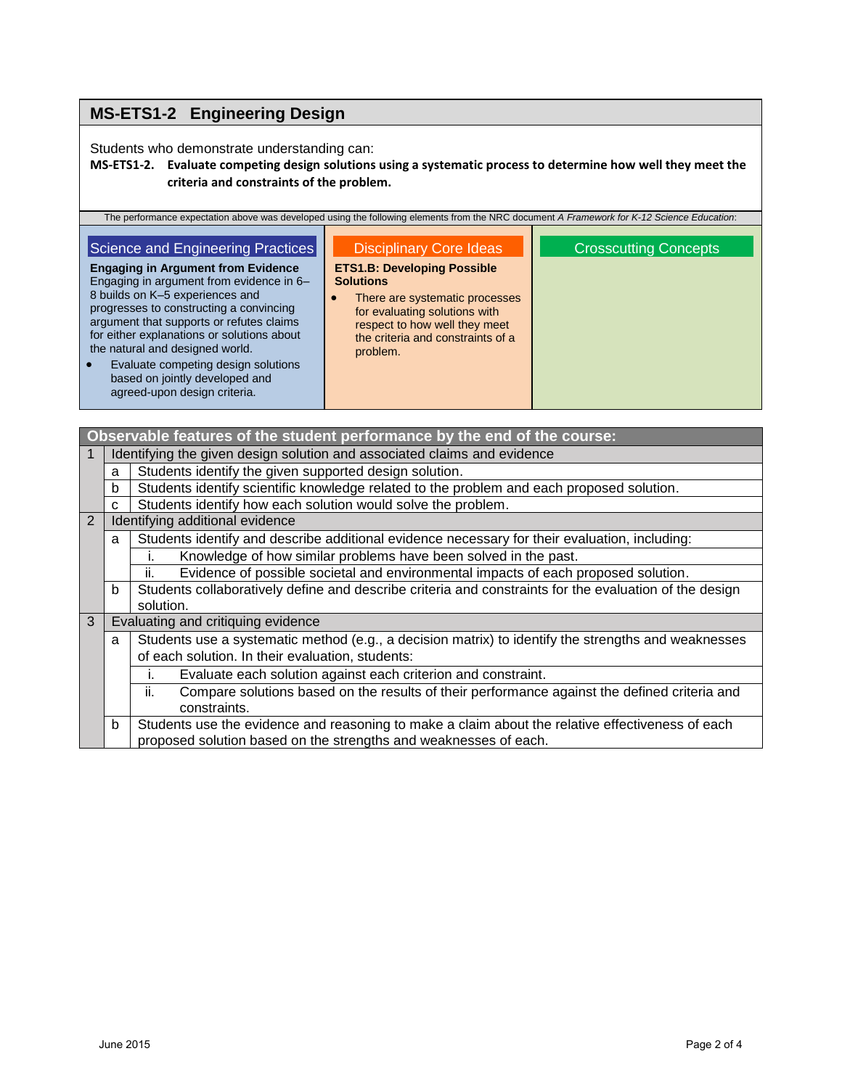# **MS-ETS1-2 Engineering Design**

Students who demonstrate understanding can:

#### **MS-ETS1-2. Evaluate competing design solutions using a systematic process to determine how well they meet the criteria and constraints of the problem.**

| The performance expectation above was developed using the following elements from the NRC document A Framework for K-12 Science Education:                                                                                                                                                                                                                                                                                                     |                                                                                                                                                                                                                                                    |                              |
|------------------------------------------------------------------------------------------------------------------------------------------------------------------------------------------------------------------------------------------------------------------------------------------------------------------------------------------------------------------------------------------------------------------------------------------------|----------------------------------------------------------------------------------------------------------------------------------------------------------------------------------------------------------------------------------------------------|------------------------------|
| Science and Engineering Practices<br><b>Engaging in Argument from Evidence</b><br>Engaging in argument from evidence in 6-<br>8 builds on K-5 experiences and<br>progresses to constructing a convincing<br>argument that supports or refutes claims<br>for either explanations or solutions about<br>the natural and designed world.<br>Evaluate competing design solutions<br>based on jointly developed and<br>agreed-upon design criteria. | <b>Disciplinary Core Ideas</b><br><b>ETS1.B: Developing Possible</b><br><b>Solutions</b><br>There are systematic processes<br>۰<br>for evaluating solutions with<br>respect to how well they meet<br>the criteria and constraints of a<br>problem. | <b>Crosscutting Concepts</b> |

|                |                                                                                                          | Observable features of the student performance by the end of the course:                               |  |  |
|----------------|----------------------------------------------------------------------------------------------------------|--------------------------------------------------------------------------------------------------------|--|--|
|                | Identifying the given design solution and associated claims and evidence                                 |                                                                                                        |  |  |
|                | a                                                                                                        | Students identify the given supported design solution.                                                 |  |  |
|                | b                                                                                                        | Students identify scientific knowledge related to the problem and each proposed solution.              |  |  |
|                | C                                                                                                        | Students identify how each solution would solve the problem.                                           |  |  |
| $\overline{2}$ | Identifying additional evidence                                                                          |                                                                                                        |  |  |
|                | a                                                                                                        | Students identify and describe additional evidence necessary for their evaluation, including:          |  |  |
|                |                                                                                                          | Knowledge of how similar problems have been solved in the past.                                        |  |  |
|                |                                                                                                          | Evidence of possible societal and environmental impacts of each proposed solution.<br>ii.              |  |  |
|                | b                                                                                                        | Students collaboratively define and describe criteria and constraints for the evaluation of the design |  |  |
|                |                                                                                                          | solution.                                                                                              |  |  |
| 3              |                                                                                                          | Evaluating and critiquing evidence                                                                     |  |  |
|                | Students use a systematic method (e.g., a decision matrix) to identify the strengths and weaknesses<br>a |                                                                                                        |  |  |
|                | of each solution. In their evaluation, students:                                                         |                                                                                                        |  |  |
|                |                                                                                                          | Evaluate each solution against each criterion and constraint.                                          |  |  |
|                |                                                                                                          | Compare solutions based on the results of their performance against the defined criteria and<br>ii.    |  |  |
|                |                                                                                                          | constraints.                                                                                           |  |  |
|                | b                                                                                                        | Students use the evidence and reasoning to make a claim about the relative effectiveness of each       |  |  |
|                |                                                                                                          | proposed solution based on the strengths and weaknesses of each.                                       |  |  |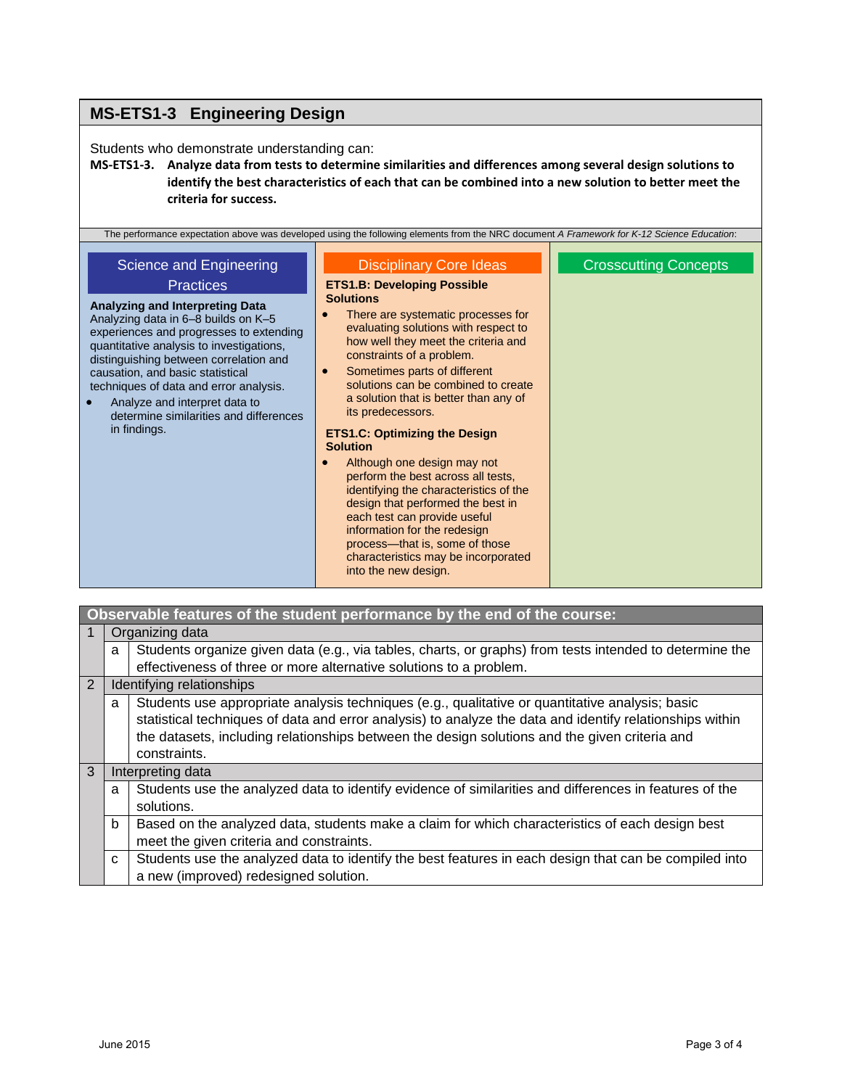### **MS-ETS1-3 Engineering Design**

Students who demonstrate understanding can:

**MS-ETS1-3. Analyze data from tests to determine similarities and differences among several design solutions to identify the best characteristics of each that can be combined into a new solution to better meet the criteria for success.**

|                                                                                                                                                                                                                                                                                                                                                                                                                                 | The performance expectation above was developed using the following elements from the NRC document A Framework for K-12 Science Education:                                                                                                                                                                                                                                                                                                                                                                                                                                                                                                                                                                                                                                   |                              |
|---------------------------------------------------------------------------------------------------------------------------------------------------------------------------------------------------------------------------------------------------------------------------------------------------------------------------------------------------------------------------------------------------------------------------------|------------------------------------------------------------------------------------------------------------------------------------------------------------------------------------------------------------------------------------------------------------------------------------------------------------------------------------------------------------------------------------------------------------------------------------------------------------------------------------------------------------------------------------------------------------------------------------------------------------------------------------------------------------------------------------------------------------------------------------------------------------------------------|------------------------------|
| Science and Engineering<br><b>Practices</b><br>Analyzing and Interpreting Data<br>Analyzing data in 6-8 builds on K-5<br>experiences and progresses to extending<br>quantitative analysis to investigations,<br>distinguishing between correlation and<br>causation, and basic statistical<br>techniques of data and error analysis.<br>Analyze and interpret data to<br>determine similarities and differences<br>in findings. | <b>Disciplinary Core Ideas</b><br><b>ETS1.B: Developing Possible</b><br><b>Solutions</b><br>There are systematic processes for<br>evaluating solutions with respect to<br>how well they meet the criteria and<br>constraints of a problem.<br>Sometimes parts of different<br>$\bullet$<br>solutions can be combined to create<br>a solution that is better than any of<br>its predecessors.<br><b>ETS1.C: Optimizing the Design</b><br><b>Solution</b><br>Although one design may not<br>perform the best across all tests,<br>identifying the characteristics of the<br>design that performed the best in<br>each test can provide useful<br>information for the redesign<br>process-that is, some of those<br>characteristics may be incorporated<br>into the new design. | <b>Crosscutting Concepts</b> |

|                | Observable features of the student performance by the end of the course: |                                                                                                          |  |
|----------------|--------------------------------------------------------------------------|----------------------------------------------------------------------------------------------------------|--|
|                | Organizing data                                                          |                                                                                                          |  |
|                | a                                                                        | Students organize given data (e.g., via tables, charts, or graphs) from tests intended to determine the  |  |
|                |                                                                          | effectiveness of three or more alternative solutions to a problem.                                       |  |
| $\overline{2}$ | Identifying relationships                                                |                                                                                                          |  |
|                | a                                                                        | Students use appropriate analysis techniques (e.g., qualitative or quantitative analysis; basic          |  |
|                |                                                                          | statistical techniques of data and error analysis) to analyze the data and identify relationships within |  |
|                |                                                                          | the datasets, including relationships between the design solutions and the given criteria and            |  |
|                |                                                                          | constraints.                                                                                             |  |
| $\mathbf{3}$   | Interpreting data                                                        |                                                                                                          |  |
|                | a                                                                        | Students use the analyzed data to identify evidence of similarities and differences in features of the   |  |
|                |                                                                          | solutions.                                                                                               |  |
|                | b                                                                        | Based on the analyzed data, students make a claim for which characteristics of each design best          |  |
|                |                                                                          | meet the given criteria and constraints.                                                                 |  |
|                | C                                                                        | Students use the analyzed data to identify the best features in each design that can be compiled into    |  |
|                |                                                                          | a new (improved) redesigned solution.                                                                    |  |